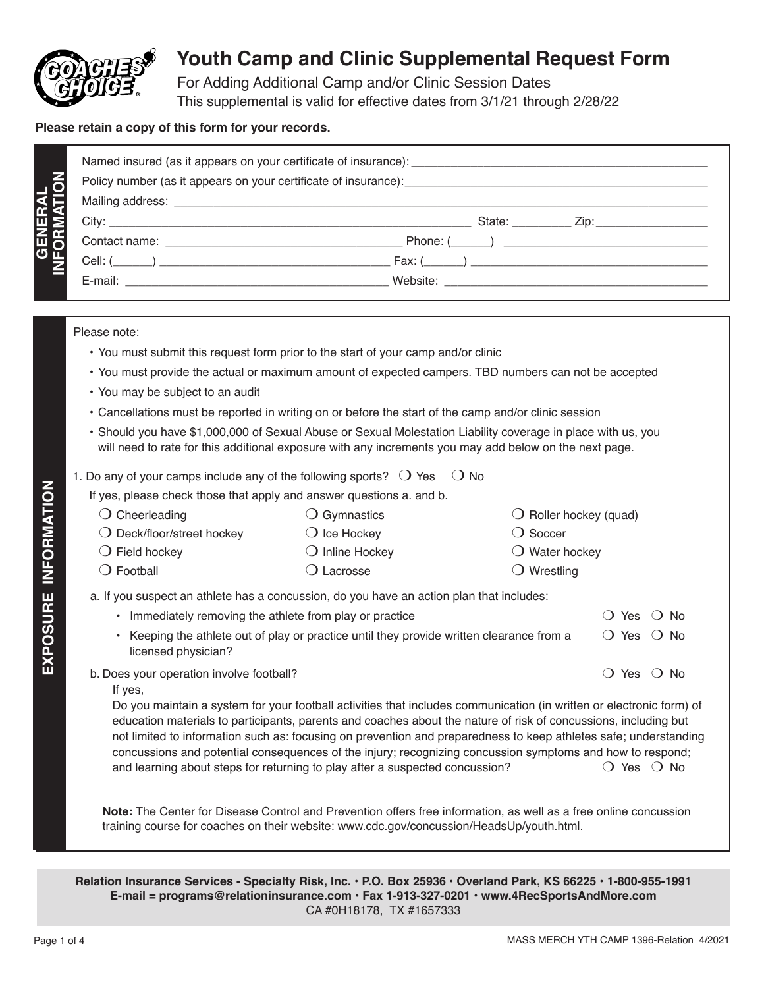

**GENERAL**

**GENERAL** 

# **Youth Camp and Clinic Supplemental Request Form**

For Adding Additional Camp and/or Clinic Session Dates This supplemental is valid for effective dates from 3/1/21 through 2/28/22

#### **Please retain a copy of this form for your records.**

| GENERAL     |                                                                                                        |                                                                                                                                                                                                                                                                                                                                                                                                                                                                                                          |                                 |  |  |  |  |  |
|-------------|--------------------------------------------------------------------------------------------------------|----------------------------------------------------------------------------------------------------------------------------------------------------------------------------------------------------------------------------------------------------------------------------------------------------------------------------------------------------------------------------------------------------------------------------------------------------------------------------------------------------------|---------------------------------|--|--|--|--|--|
|             |                                                                                                        |                                                                                                                                                                                                                                                                                                                                                                                                                                                                                                          |                                 |  |  |  |  |  |
|             |                                                                                                        |                                                                                                                                                                                                                                                                                                                                                                                                                                                                                                          |                                 |  |  |  |  |  |
|             |                                                                                                        |                                                                                                                                                                                                                                                                                                                                                                                                                                                                                                          |                                 |  |  |  |  |  |
|             |                                                                                                        |                                                                                                                                                                                                                                                                                                                                                                                                                                                                                                          |                                 |  |  |  |  |  |
|             |                                                                                                        |                                                                                                                                                                                                                                                                                                                                                                                                                                                                                                          |                                 |  |  |  |  |  |
|             | Please note:                                                                                           |                                                                                                                                                                                                                                                                                                                                                                                                                                                                                                          |                                 |  |  |  |  |  |
|             |                                                                                                        | • You must submit this request form prior to the start of your camp and/or clinic                                                                                                                                                                                                                                                                                                                                                                                                                        |                                 |  |  |  |  |  |
|             |                                                                                                        | • You must provide the actual or maximum amount of expected campers. TBD numbers can not be accepted                                                                                                                                                                                                                                                                                                                                                                                                     |                                 |  |  |  |  |  |
|             | • You may be subject to an audit                                                                       |                                                                                                                                                                                                                                                                                                                                                                                                                                                                                                          |                                 |  |  |  |  |  |
|             |                                                                                                        | • Cancellations must be reported in writing on or before the start of the camp and/or clinic session                                                                                                                                                                                                                                                                                                                                                                                                     |                                 |  |  |  |  |  |
|             |                                                                                                        | · Should you have \$1,000,000 of Sexual Abuse or Sexual Molestation Liability coverage in place with us, you                                                                                                                                                                                                                                                                                                                                                                                             |                                 |  |  |  |  |  |
|             | will need to rate for this additional exposure with any increments you may add below on the next page. |                                                                                                                                                                                                                                                                                                                                                                                                                                                                                                          |                                 |  |  |  |  |  |
|             | 1. Do any of your camps include any of the following sports? $\bigcirc$ Yes $\bigcirc$ No              |                                                                                                                                                                                                                                                                                                                                                                                                                                                                                                          |                                 |  |  |  |  |  |
|             | If yes, please check those that apply and answer questions a. and b.                                   |                                                                                                                                                                                                                                                                                                                                                                                                                                                                                                          |                                 |  |  |  |  |  |
|             | $\bigcirc$ Cheerleading                                                                                | $\bigcirc$ Gymnastics                                                                                                                                                                                                                                                                                                                                                                                                                                                                                    | $\bigcirc$ Roller hockey (quad) |  |  |  |  |  |
|             | ◯ Deck/floor/street hockey                                                                             | $\bigcirc$ Ice Hockey                                                                                                                                                                                                                                                                                                                                                                                                                                                                                    | $\bigcirc$ Soccer               |  |  |  |  |  |
|             | $\bigcirc$ Field hockey                                                                                | $\bigcirc$ Inline Hockey                                                                                                                                                                                                                                                                                                                                                                                                                                                                                 | $\bigcirc$ Water hockey         |  |  |  |  |  |
| INFORMATION | $\bigcirc$ Football                                                                                    | $\bigcirc$ Lacrosse                                                                                                                                                                                                                                                                                                                                                                                                                                                                                      | $\bigcirc$ Wrestling            |  |  |  |  |  |
|             | a. If you suspect an athlete has a concussion, do you have an action plan that includes:               |                                                                                                                                                                                                                                                                                                                                                                                                                                                                                                          |                                 |  |  |  |  |  |
|             | • Immediately removing the athlete from play or practice                                               |                                                                                                                                                                                                                                                                                                                                                                                                                                                                                                          | () Yes () No                    |  |  |  |  |  |
| EXPOSURE    | licensed physician?                                                                                    | Keeping the athlete out of play or practice until they provide written clearance from a                                                                                                                                                                                                                                                                                                                                                                                                                  | ○ Yes ○ No                      |  |  |  |  |  |
|             | b. Does your operation involve football?<br>If yes,                                                    |                                                                                                                                                                                                                                                                                                                                                                                                                                                                                                          | $\bigcirc$ Yes $\bigcirc$ No    |  |  |  |  |  |
|             |                                                                                                        | Do you maintain a system for your football activities that includes communication (in written or electronic form) of<br>education materials to participants, parents and coaches about the nature of risk of concussions, including but<br>not limited to information such as: focusing on prevention and preparedness to keep athletes safe; understanding<br>concussions and potential consequences of the injury; recognizing concussion symptoms and how to respond;<br>$\bigcirc$ Yes $\bigcirc$ No |                                 |  |  |  |  |  |
|             |                                                                                                        | and learning about steps for returning to play after a suspected concussion?<br>Note: The Center for Disease Control and Prevention offers free information, as well as a free online concussion<br>training course for coaches on their website: www.cdc.gov/concussion/HeadsUp/youth.html.                                                                                                                                                                                                             |                                 |  |  |  |  |  |

**Relation Insurance Services - Specialty Risk, Inc. • P.O. Box 25936 • Overland Park, KS 66225 • 1-800-955-1991 E-mail = programs@relationinsurance.com • Fax 1-913-327-0201 • www.4RecSportsAndMore.com** CA #0H18178, TX #1657333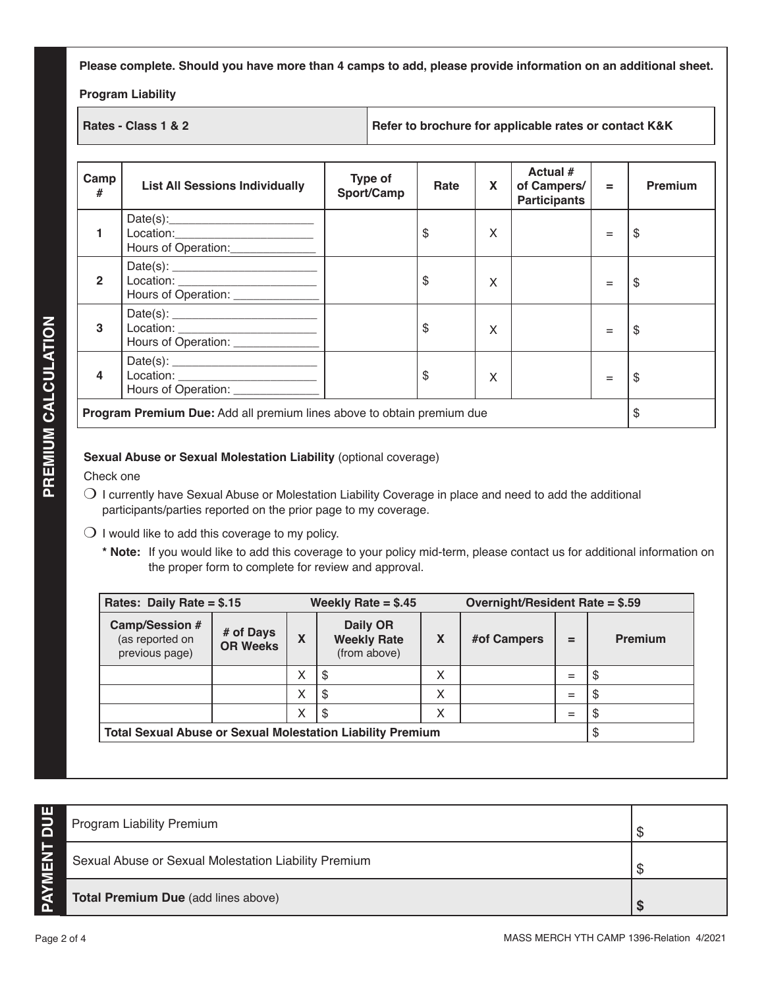**Please complete. Should you have more than 4 camps to add, please provide information on an additional sheet.**

#### **Program Liability**

**Rates - Class 1 & 2 Refer to brochure for applicable rates or contact K&K** 

| Camp<br>#                                                              | <b>List All Sessions Individually</b>                                     | Type of<br>Sport/Camp | Rate | X | Actual #<br>of Campers/<br><b>Participants</b> | $=$ | <b>Premium</b> |
|------------------------------------------------------------------------|---------------------------------------------------------------------------|-----------------------|------|---|------------------------------------------------|-----|----------------|
|                                                                        | Location:_______________________<br>Hours of Operation:                   |                       | \$   | X |                                                | $=$ | \$             |
| $\overline{2}$                                                         | Location: _________________________<br>Hours of Operation: ______________ |                       | \$   | X |                                                | $=$ | \$             |
| 3                                                                      | Hours of Operation: _____________                                         |                       | \$   | X |                                                | $=$ | \$             |
| 4                                                                      | Hours of Operation: ____________                                          |                       | \$   | X |                                                | $=$ | \$             |
| Program Premium Due: Add all premium lines above to obtain premium due |                                                                           |                       |      |   |                                                |     | \$             |

#### **Sexual Abuse or Sexual Molestation Liability** (optional coverage)

Check one

- $\bigcirc$  I currently have Sexual Abuse or Molestation Liability Coverage in place and need to add the additional participants/parties reported on the prior page to my coverage.
- $\bigcirc$  I would like to add this coverage to my policy.
	- **\* Note:** If you would like to add this coverage to your policy mid-term, please contact us for additional information on the proper form to complete for review and approval.

| Rates: Daily Rate = $$.15$                                 |                                                                   |   | Weekly Rate = $$.45$                           |   | Overnight/Resident Rate = \$.59 |     |                |
|------------------------------------------------------------|-------------------------------------------------------------------|---|------------------------------------------------|---|---------------------------------|-----|----------------|
| <b>Camp/Session #</b><br>(as reported on<br>previous page) | # of Days<br><b>OR Weeks</b>                                      | X | Daily OR<br><b>Weekly Rate</b><br>(from above) | X | #of Campers                     | $=$ | <b>Premium</b> |
|                                                            |                                                                   | v | S                                              | Χ |                                 | $=$ |                |
|                                                            |                                                                   | v | S                                              | х |                                 | $=$ |                |
|                                                            |                                                                   | v | \$                                             | х |                                 | $=$ |                |
|                                                            | <b>Total Sexual Abuse or Sexual Molestation Liability Premium</b> |   |                                                |   |                                 |     |                |

| ш<br>Đ<br>$\Omega$ | Program Liability Premium                            |  |
|--------------------|------------------------------------------------------|--|
| ш                  | Sexual Abuse or Sexual Molestation Liability Premium |  |
| G                  | Total Premium Due (add lines above)                  |  |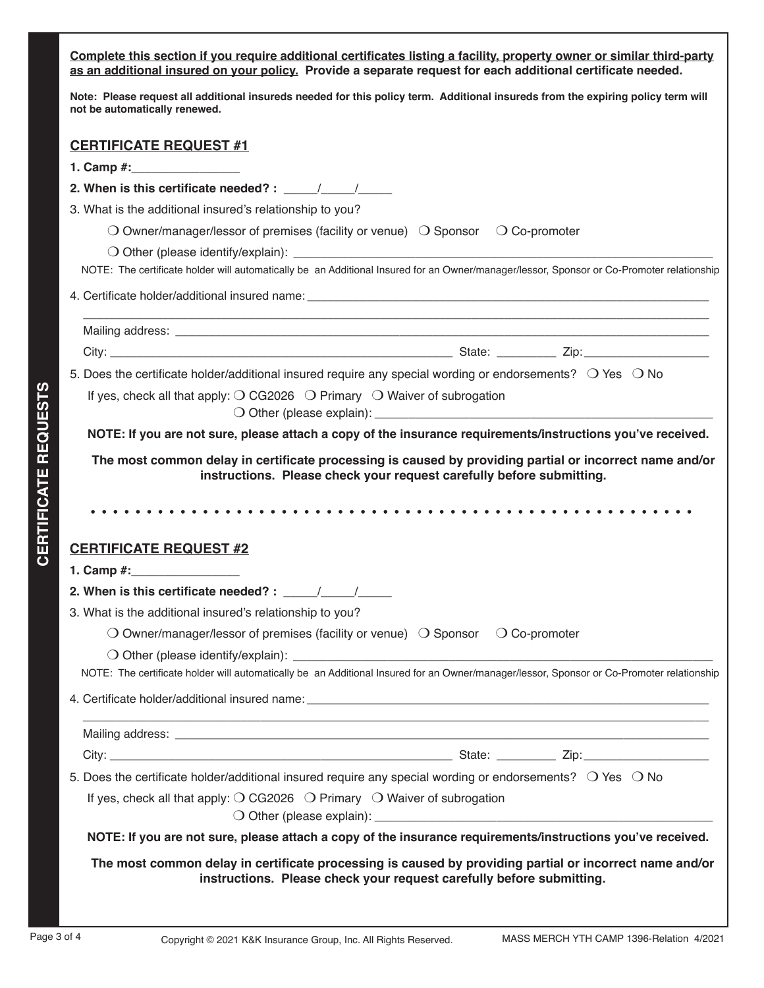**Complete this section if you require additional certificates listing a facility, property owner or similar third-party as an additional insured on your policy. Provide a separate request for each additional certificate needed.** 

**Note: Please request all additional insureds needed for this policy term. Additional insureds from the expiring policy term will not be automatically renewed.** 

#### **CERTIFICATE REQUEST #1**

**1. Camp #:**\_\_\_\_\_\_\_\_\_\_\_\_\_\_\_\_

2. When is this certificate needed? :  $\frac{1}{2}$ 

- 3. What is the additional insured's relationship to you?
	- O Owner/manager/lessor of premises (facility or venue)  $\bigcirc$  Sponsor  $\bigcirc$  Co-promoter
	- $\bigcirc$  Other (please identify/explain):

NOTE: The certificate holder will automatically be an Additional Insured for an Owner/manager/lessor, Sponsor or Co-Promoter relationship

4. Certificate holder/additional insured name:

| Mailing address:  |                |  |
|-------------------|----------------|--|
| City <sup>-</sup> | 2tote<br>Siale |  |

5. Does the certificate holder/additional insured require any special wording or endorsements?  $\circ$  Yes  $\circ$  No

### **CERTIFICATE REQUEST #2**

| 1. Camp $#$ : |  |
|---------------|--|
|---------------|--|

- 2. When is this certificate needed? : \_\_\_\_\_ / \_\_\_\_/
- 3. What is the additional insured's relationship to you?
	- O Owner/manager/lessor of premises (facility or venue)  $\bigcirc$  Sponsor  $\bigcirc$  Co-promoter
	- $\bigcirc$  Other (please identify/explain):

| <b>REQUESTS</b>    | If yes, check all that apply: $\bigcirc$ CG2026 $\bigcirc$ Primary $\bigcirc$ Waiver of subrogation                                                                                                                                                                                     |  |  |  |  |  |
|--------------------|-----------------------------------------------------------------------------------------------------------------------------------------------------------------------------------------------------------------------------------------------------------------------------------------|--|--|--|--|--|
|                    | NOTE: If you are not sure, please attach a copy of the insurance requirements/instructions you've received.                                                                                                                                                                             |  |  |  |  |  |
|                    | The most common delay in certificate processing is caused by providing partial or incorrect name and/or<br>instructions. Please check your request carefully before submitting.                                                                                                         |  |  |  |  |  |
| <b>CERTIFICATE</b> |                                                                                                                                                                                                                                                                                         |  |  |  |  |  |
|                    | <b>CERTIFICATE REQUEST #2</b>                                                                                                                                                                                                                                                           |  |  |  |  |  |
|                    | 1. Camp #:__________________                                                                                                                                                                                                                                                            |  |  |  |  |  |
|                    | 2. When is this certificate needed? : / /                                                                                                                                                                                                                                               |  |  |  |  |  |
|                    | 3. What is the additional insured's relationship to you?<br>O Owner/manager/lessor of premises (facility or venue) O Sponsor O Co-promoter<br>NOTE: The certificate holder will automatically be an Additional Insured for an Owner/manager/lessor, Sponsor or Co-Promoter relationship |  |  |  |  |  |
|                    |                                                                                                                                                                                                                                                                                         |  |  |  |  |  |
|                    |                                                                                                                                                                                                                                                                                         |  |  |  |  |  |
|                    |                                                                                                                                                                                                                                                                                         |  |  |  |  |  |
|                    |                                                                                                                                                                                                                                                                                         |  |  |  |  |  |
|                    |                                                                                                                                                                                                                                                                                         |  |  |  |  |  |
|                    |                                                                                                                                                                                                                                                                                         |  |  |  |  |  |
|                    | 5. Does the certificate holder/additional insured require any special wording or endorsements? $\bigcirc$ Yes $\bigcirc$ No                                                                                                                                                             |  |  |  |  |  |
|                    | If yes, check all that apply: $\bigcirc$ CG2026 $\bigcirc$ Primary $\bigcirc$ Waiver of subrogation                                                                                                                                                                                     |  |  |  |  |  |
|                    |                                                                                                                                                                                                                                                                                         |  |  |  |  |  |
|                    | NOTE: If you are not sure, please attach a copy of the insurance requirements/instructions you've received.                                                                                                                                                                             |  |  |  |  |  |
|                    | The most common delay in certificate processing is caused by providing partial or incorrect name and/or<br>instructions. Please check your request carefully before submitting.                                                                                                         |  |  |  |  |  |
| Page 3 of 4        | MASS MERCH YTH CAMP 1396-Relation 4/2021<br>Copyright © 2021 K&K Insurance Group. Inc. All Rights Reserved.                                                                                                                                                                             |  |  |  |  |  |